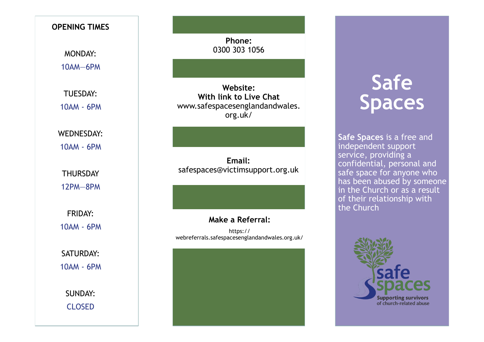# **OPENING TIMES** MONDAY: 10AM—6PM TUESDAY: 10AM - 6PM WEDNESDAY: 10AM - 6PM **THURSDAY** 12PM—8PM FRIDAY: 10AM - 6PM SATURDAY: 10AM - 6PM SUNDAY: CLOSED

**Phone:**  0300 303 1056

**Website: With link to Live Chat**  [www.safespacesenglandandwales.](http://www.safespacesenglandandwales.org.uk/)  [org.uk/](http://www.safespacesenglandandwales.org.uk/)

**Email:**  safespaces@victimsupport.org.uk

#### **Make a Referral:**

https:// webreferrals.safespacesenglandandwales.org.uk/

# **Safe Spaces**

**Safe Spaces** is a free and independent support service, providing a confidential, personal and safe space for anyone who has been abused by someone in the Church or as a result of their relationship with the Church